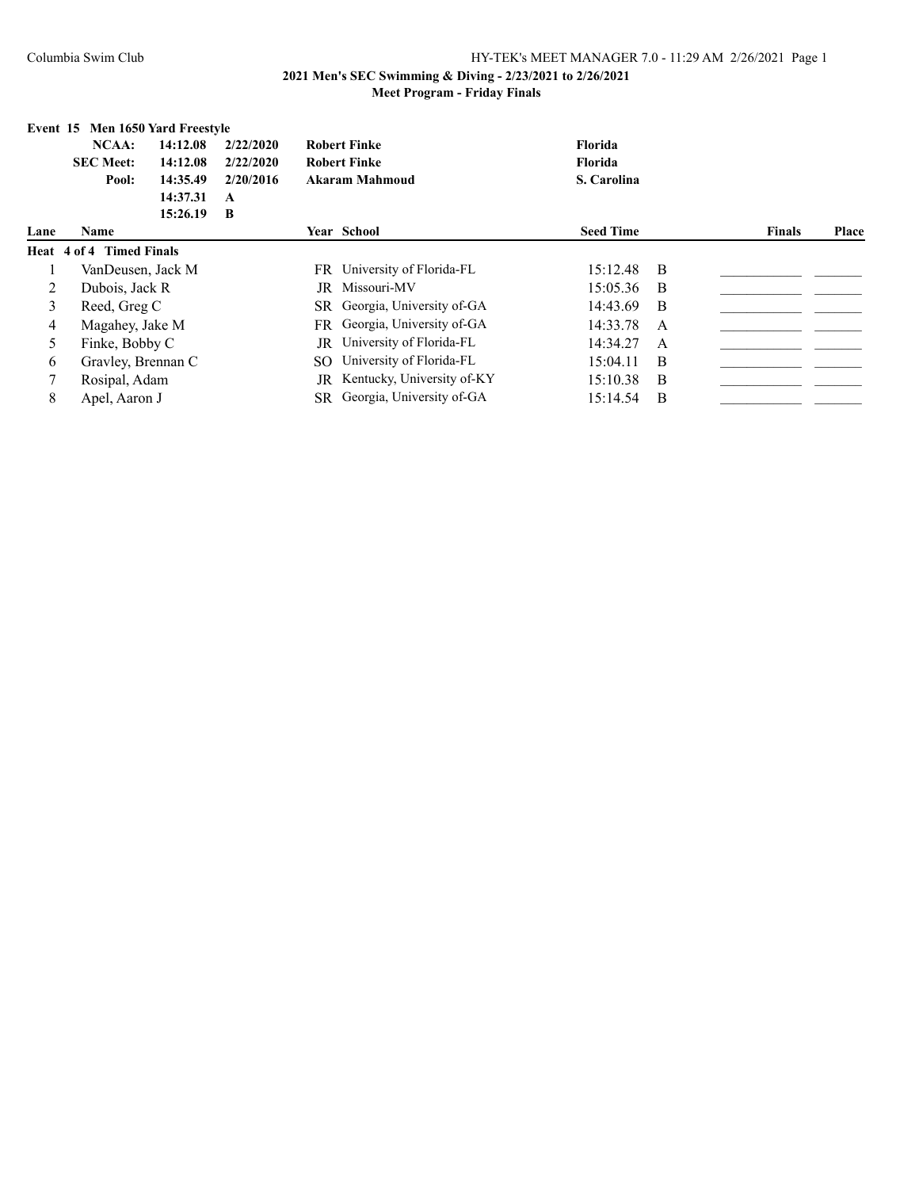|      | Event 15 Men 1650 Yard Freestyle |          |           |     |                              |                  |              |               |              |
|------|----------------------------------|----------|-----------|-----|------------------------------|------------------|--------------|---------------|--------------|
|      | NCAA:                            | 14:12.08 | 2/22/2020 |     | <b>Robert Finke</b>          | Florida          |              |               |              |
|      | <b>SEC Meet:</b>                 | 14:12.08 | 2/22/2020 |     | <b>Robert Finke</b>          | Florida          |              |               |              |
|      | Pool:                            | 14:35.49 | 2/20/2016 |     | <b>Akaram Mahmoud</b>        | S. Carolina      |              |               |              |
|      |                                  | 14:37.31 | A         |     |                              |                  |              |               |              |
|      |                                  | 15:26.19 | B         |     |                              |                  |              |               |              |
| Lane | Name                             |          |           |     | Year School                  | <b>Seed Time</b> |              | <b>Finals</b> | <b>Place</b> |
|      | Heat 4 of 4 Timed Finals         |          |           |     |                              |                  |              |               |              |
|      | VanDeusen, Jack M                |          |           | FR. | University of Florida-FL     | 15:12.48         | -B           |               |              |
| 2    | Dubois, Jack R                   |          |           |     | JR Missouri-MV               | 15:05.36         | -B           |               |              |
| 3    | Reed, Greg C                     |          |           | SR  | Georgia, University of-GA    | 14:43.69         | B            |               |              |
| 4    | Magahey, Jake M                  |          |           | FR  | Georgia, University of-GA    | 14:33.78         | A            |               |              |
| 5    | Finke, Bobby C                   |          |           | JR  | University of Florida-FL     | 14:34.27         | $\mathsf{A}$ |               |              |
| 6    | Gravley, Brennan C               |          |           | SО  | University of Florida-FL     | 15:04.11         | B            |               |              |
| 7    | Rosipal, Adam                    |          |           | JR  | Kentucky, University of-KY   | 15:10.38         | B            |               |              |
| 8    | Apel, Aaron J                    |          |           |     | SR Georgia, University of-GA | 15:14.54         | -B           |               |              |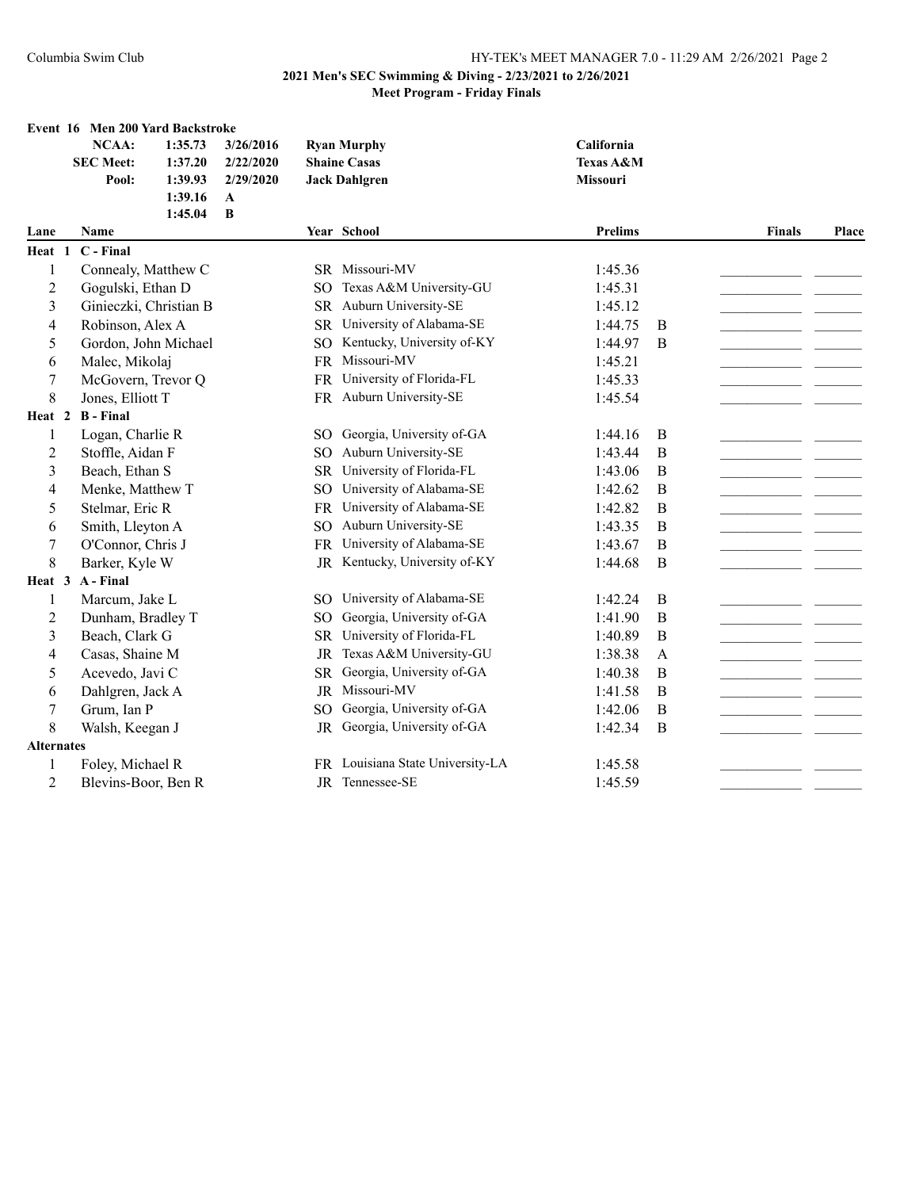|                   | Event 16 Men 200 Yard Backstroke |           |                 |                                  |            |   |               |       |
|-------------------|----------------------------------|-----------|-----------------|----------------------------------|------------|---|---------------|-------|
|                   | <b>NCAA:</b><br>1:35.73          | 3/26/2016 |                 | <b>Ryan Murphy</b>               | California |   |               |       |
|                   | <b>SEC Meet:</b><br>1:37.20      | 2/22/2020 |                 | <b>Shaine Casas</b>              | Texas A&M  |   |               |       |
|                   | 1:39.93<br>Pool:                 | 2/29/2020 |                 | <b>Jack Dahlgren</b>             | Missouri   |   |               |       |
|                   | 1:39.16                          | A         |                 |                                  |            |   |               |       |
|                   | 1:45.04<br>Name                  | B         |                 | Year School                      | Prelims    |   | <b>Finals</b> | Place |
| Lane<br>Heat 1    | C - Final                        |           |                 |                                  |            |   |               |       |
| 1                 | Connealy, Matthew C              |           |                 | SR Missouri-MV                   | 1:45.36    |   |               |       |
| $\overline{c}$    | Gogulski, Ethan D                |           | SO.             | Texas A&M University-GU          | 1:45.31    |   |               |       |
| 3                 | Ginieczki, Christian B           |           |                 | SR Auburn University-SE          | 1:45.12    |   |               |       |
| 4                 | Robinson, Alex A                 |           | <b>SR</b>       | University of Alabama-SE         | 1:44.75    | B |               |       |
| 5                 | Gordon, John Michael             |           | SO <sub>1</sub> | Kentucky, University of-KY       | 1:44.97    | B |               |       |
| 6                 | Malec, Mikolaj                   |           | <b>FR</b>       | Missouri-MV                      | 1:45.21    |   |               |       |
| 7                 | McGovern, Trevor Q               |           | <b>FR</b>       | University of Florida-FL         | 1:45.33    |   |               |       |
| 8                 | Jones, Elliott T                 |           |                 | FR Auburn University-SE          | 1:45.54    |   |               |       |
| Heat 2            | <b>B</b> - Final                 |           |                 |                                  |            |   |               |       |
| 1                 | Logan, Charlie R                 |           |                 | SO Georgia, University of-GA     | 1:44.16    | B |               |       |
| 2                 | Stoffle, Aidan F                 |           | SO <sub>1</sub> | Auburn University-SE             | 1:43.44    | B |               |       |
| 3                 | Beach, Ethan S                   |           | <b>SR</b>       | University of Florida-FL         | 1:43.06    | B |               |       |
| 4                 | Menke, Matthew T                 |           | SO <sub>1</sub> | University of Alabama-SE         | 1:42.62    | B |               |       |
| 5                 | Stelmar, Eric R                  |           | <b>FR</b>       | University of Alabama-SE         | 1:42.82    | B |               |       |
| 6                 | Smith, Lleyton A                 |           | <b>SO</b>       | Auburn University-SE             | 1:43.35    | B |               |       |
| 7                 | O'Connor, Chris J                |           | <b>FR</b>       | University of Alabama-SE         | 1:43.67    | B |               |       |
| $\,8\,$           | Barker, Kyle W                   |           | JR              | Kentucky, University of-KY       | 1:44.68    | B |               |       |
| Heat 3            | A - Final                        |           |                 |                                  |            |   |               |       |
| 1                 | Marcum, Jake L                   |           | <b>SO</b>       | University of Alabama-SE         | 1:42.24    | B |               |       |
| $\overline{2}$    | Dunham, Bradley T                |           | SO <sub>1</sub> | Georgia, University of-GA        | 1:41.90    | B |               |       |
| 3                 | Beach, Clark G                   |           | <b>SR</b>       | University of Florida-FL         | 1:40.89    | B |               |       |
| 4                 | Casas, Shaine M                  |           | <b>JR</b>       | Texas A&M University-GU          | 1:38.38    | A |               |       |
| 5                 | Acevedo, Javi C                  |           | <b>SR</b>       | Georgia, University of-GA        | 1:40.38    | B |               |       |
| 6                 | Dahlgren, Jack A                 |           | JR              | Missouri-MV                      | 1:41.58    | B |               |       |
| 7                 | Grum, Ian P                      |           | SO <sub>1</sub> | Georgia, University of-GA        | 1:42.06    | B |               |       |
| 8                 | Walsh, Keegan J                  |           | JR              | Georgia, University of-GA        | 1:42.34    | B |               |       |
| <b>Alternates</b> |                                  |           |                 |                                  |            |   |               |       |
| 1                 | Foley, Michael R                 |           |                 | FR Louisiana State University-LA | 1:45.58    |   |               |       |
| $\overline{2}$    | Blevins-Boor, Ben R              |           |                 | JR Tennessee-SE                  | 1:45.59    |   |               |       |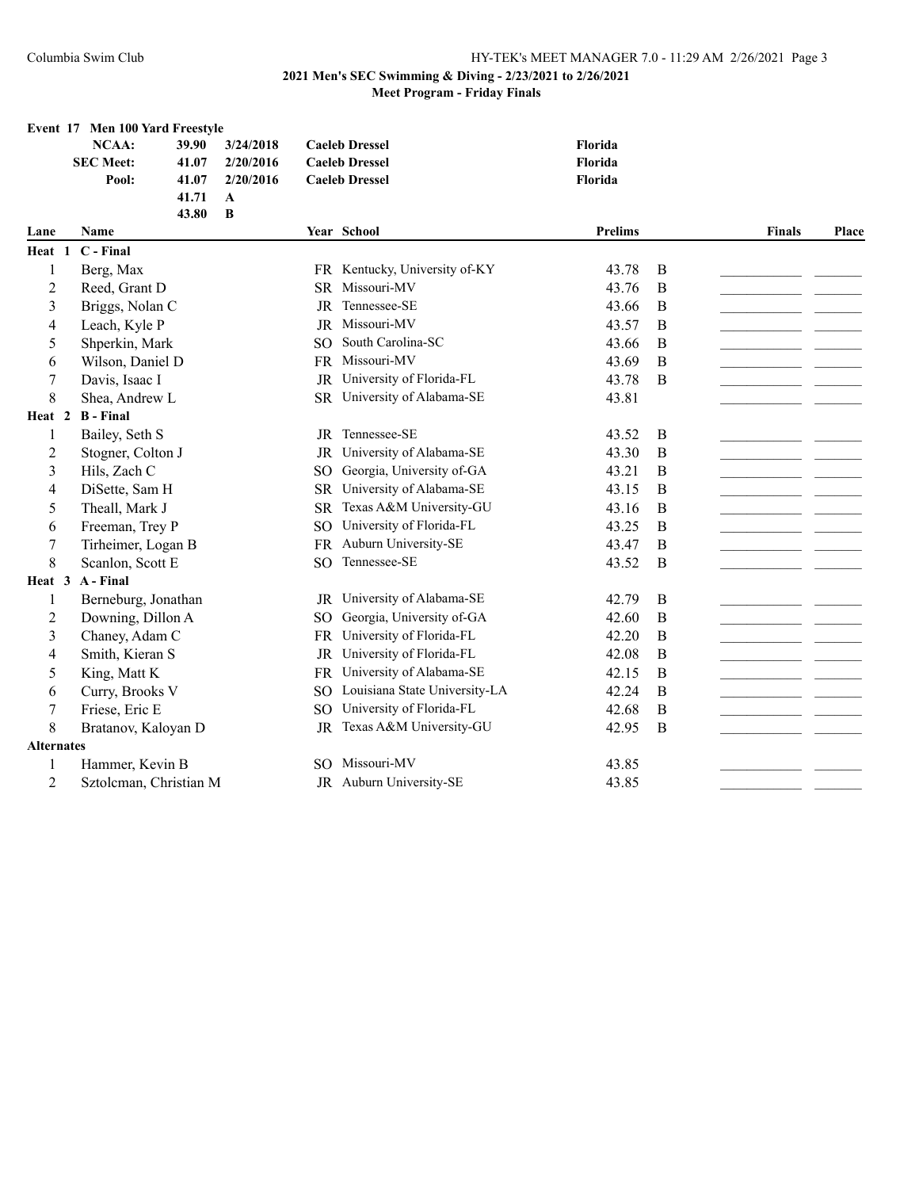|                   | Event 17 Men 100 Yard Freestyle |              |                 |                                              |                |              |               |       |
|-------------------|---------------------------------|--------------|-----------------|----------------------------------------------|----------------|--------------|---------------|-------|
|                   | NCAA:<br>39.90                  | 3/24/2018    |                 | <b>Caeleb Dressel</b>                        | Florida        |              |               |       |
|                   | <b>SEC Meet:</b><br>41.07       | 2/20/2016    |                 | <b>Caeleb Dressel</b>                        | Florida        |              |               |       |
|                   | Pool:<br>41.07                  | 2/20/2016    |                 | <b>Caeleb Dressel</b>                        | Florida        |              |               |       |
|                   | 41.71                           | $\mathbf{A}$ |                 |                                              |                |              |               |       |
|                   | 43.80                           | $\bf{B}$     |                 |                                              | <b>Prelims</b> |              |               |       |
| Lane              | <b>Name</b>                     |              |                 | Year School                                  |                |              | <b>Finals</b> | Place |
| Heat 1            | C - Final                       |              |                 |                                              |                |              |               |       |
| 1                 | Berg, Max                       |              |                 | FR Kentucky, University of-KY<br>Missouri-MV | 43.78          | B            |               |       |
| $\overline{2}$    | Reed, Grant D                   |              | <b>SR</b>       | Tennessee-SE                                 | 43.76          | B            |               |       |
| 3                 | Briggs, Nolan C                 |              | <b>JR</b>       | Missouri-MV                                  | 43.66          | B            |               |       |
| 4                 | Leach, Kyle P                   |              | <b>JR</b>       |                                              | 43.57          | B            |               |       |
| 5                 | Shperkin, Mark                  |              | SO.             | South Carolina-SC                            | 43.66          | B            |               |       |
| 6                 | Wilson, Daniel D                |              |                 | FR Missouri-MV                               | 43.69          | B            |               |       |
| 7                 | Davis, Isaac I                  |              | JR              | University of Florida-FL                     | 43.78          | B            |               |       |
| 8                 | Shea, Andrew L                  |              |                 | SR University of Alabama-SE                  | 43.81          |              |               |       |
| Heat 2            | <b>B</b> - Final                |              |                 |                                              |                |              |               |       |
| 1                 | Bailey, Seth S                  |              |                 | JR Tennessee-SE                              | 43.52          | B            |               |       |
| 2                 | Stogner, Colton J               |              | JR              | University of Alabama-SE                     | 43.30          | B            |               |       |
| 3                 | Hils, Zach C                    |              | SO <sub>1</sub> | Georgia, University of-GA                    | 43.21          | B            |               |       |
| $\overline{4}$    | DiSette, Sam H                  |              | <b>SR</b>       | University of Alabama-SE                     | 43.15          | B            |               |       |
| 5                 | Theall, Mark J                  |              | <b>SR</b>       | Texas A&M University-GU                      | 43.16          | B            |               |       |
| 6                 | Freeman, Trey P                 |              | SO <sub>1</sub> | University of Florida-FL                     | 43.25          | B            |               |       |
| 7                 | Tirheimer, Logan B              |              |                 | FR Auburn University-SE                      | 43.47          | B            |               |       |
| 8                 | Scanlon, Scott E                |              | SO <sub>1</sub> | Tennessee-SE                                 | 43.52          | B            |               |       |
| Heat 3            | A - Final                       |              |                 |                                              |                |              |               |       |
| 1                 | Berneburg, Jonathan             |              |                 | JR University of Alabama-SE                  | 42.79          | B            |               |       |
| 2                 | Downing, Dillon A               |              | SO.             | Georgia, University of-GA                    | 42.60          | B            |               |       |
| 3                 | Chaney, Adam C                  |              | FR              | University of Florida-FL                     | 42.20          | B            |               |       |
| 4                 | Smith, Kieran S                 |              | JR              | University of Florida-FL                     | 42.08          | B            |               |       |
| 5                 | King, Matt K                    |              |                 | FR University of Alabama-SE                  | 42.15          | B            |               |       |
| 6                 | Curry, Brooks V                 |              |                 | SO Louisiana State University-LA             | 42.24          | $\, {\bf B}$ |               |       |
| 7                 | Friese, Eric E                  |              | SO              | University of Florida-FL                     | 42.68          | $\, {\bf B}$ |               |       |
| 8                 | Bratanov, Kaloyan D             |              | JR              | Texas A&M University-GU                      | 42.95          | B            |               |       |
| <b>Alternates</b> |                                 |              |                 |                                              |                |              |               |       |
| 1                 | Hammer, Kevin B                 |              | SO.             | Missouri-MV                                  | 43.85          |              |               |       |
| $\overline{2}$    | Sztolcman, Christian M          |              |                 | JR Auburn University-SE                      | 43.85          |              |               |       |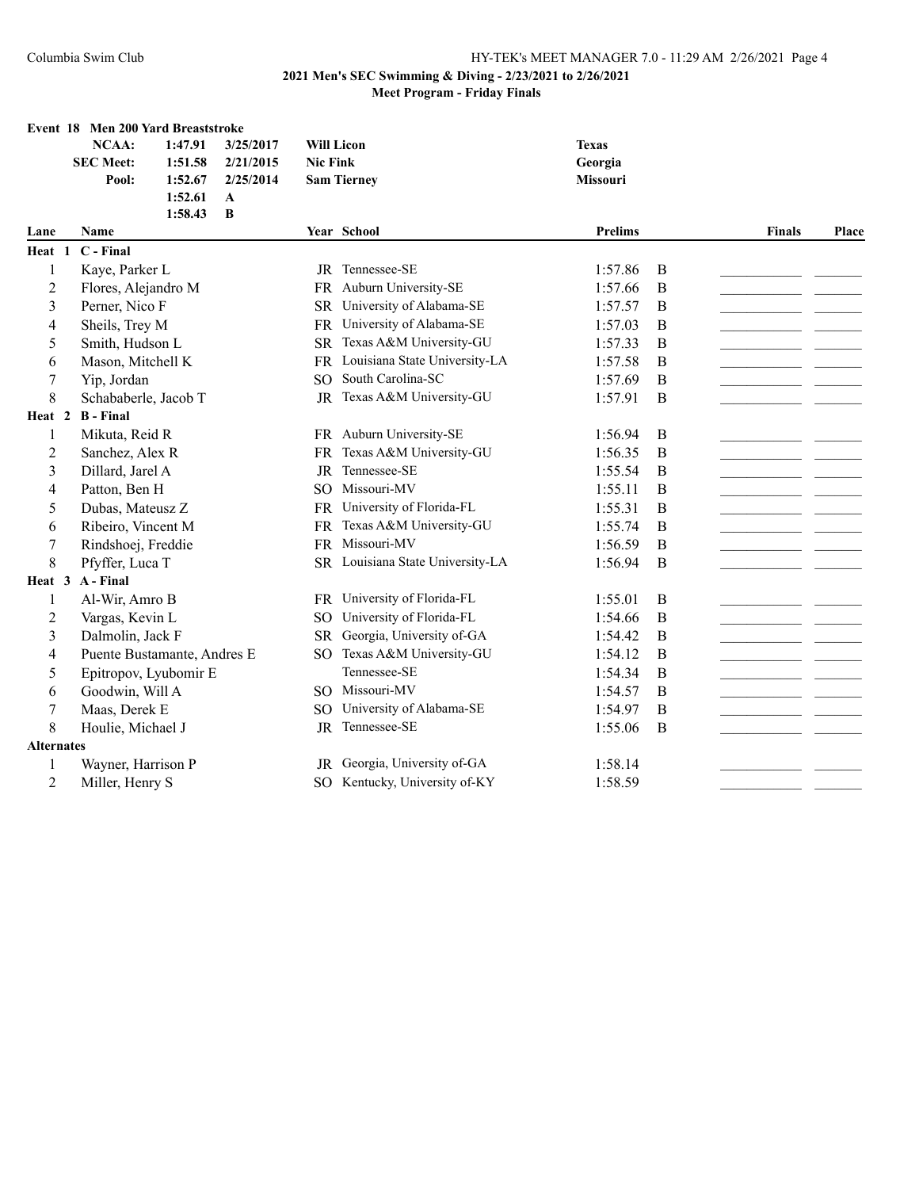|                     | Event 18 Men 200 Yard Breaststroke    |         |           |                 |                                                            |                    |   |               |       |
|---------------------|---------------------------------------|---------|-----------|-----------------|------------------------------------------------------------|--------------------|---|---------------|-------|
|                     | NCAA:                                 | 1:47.91 | 3/25/2017 |                 | <b>Will Licon</b>                                          | <b>Texas</b>       |   |               |       |
|                     | <b>SEC Meet:</b>                      | 1:51.58 | 2/21/2015 | <b>Nic Fink</b> |                                                            | Georgia            |   |               |       |
|                     | Pool:                                 | 1:52.67 | 2/25/2014 |                 | <b>Sam Tierney</b>                                         | <b>Missouri</b>    |   |               |       |
|                     |                                       | 1:52.61 | A         |                 |                                                            |                    |   |               |       |
|                     |                                       | 1:58.43 | B         |                 |                                                            |                    |   |               |       |
| Lane                | <b>Name</b>                           |         |           |                 | Year School                                                | <b>Prelims</b>     |   | <b>Finals</b> | Place |
| Heat 1              | $C$ - Final                           |         |           |                 |                                                            |                    |   |               |       |
| 1                   | Kaye, Parker L                        |         |           |                 | JR Tennessee-SE                                            | 1:57.86            | B |               |       |
| $\overline{c}$      | Flores, Alejandro M                   |         |           | <b>FR</b>       | Auburn University-SE                                       | 1:57.66            | B |               |       |
| 3                   | Perner, Nico F                        |         |           | SR.             | University of Alabama-SE                                   | 1:57.57            | B |               |       |
| 4                   | Sheils, Trey M                        |         |           | <b>FR</b>       | University of Alabama-SE                                   | 1:57.03            | B |               |       |
| 5                   | Smith, Hudson L                       |         |           | <b>SR</b>       | Texas A&M University-GU                                    | 1:57.33            | B |               |       |
| 6                   | Mason, Mitchell K                     |         |           |                 | FR Louisiana State University-LA                           | 1:57.58            | B |               |       |
| 7                   | Yip, Jordan                           |         |           | SO.             | South Carolina-SC                                          | 1:57.69            | B |               |       |
| 8                   | Schababerle, Jacob T                  |         |           |                 | JR Texas A&M University-GU                                 | 1:57.91            | B |               |       |
|                     | Heat 2 B - Final                      |         |           |                 |                                                            |                    |   |               |       |
| 1                   | Mikuta, Reid R                        |         |           |                 | FR Auburn University-SE                                    | 1:56.94            | B |               |       |
| $\overline{c}$      | Sanchez, Alex R                       |         |           | FR.             | Texas A&M University-GU                                    | 1:56.35            | B |               |       |
| 3                   | Dillard, Jarel A                      |         |           | <b>JR</b>       | Tennessee-SE                                               | 1:55.54            | B |               |       |
| 4                   | Patton, Ben H                         |         |           | SO <sub>2</sub> | Missouri-MV                                                | 1:55.11            | B |               |       |
| 5                   | Dubas, Mateusz Z                      |         |           |                 | FR University of Florida-FL                                | 1:55.31            | B |               |       |
| 6                   | Ribeiro, Vincent M                    |         |           | FR              | Texas A&M University-GU                                    | 1:55.74            | B |               |       |
| 7                   | Rindshoej, Freddie                    |         |           |                 | FR Missouri-MV                                             | 1:56.59            | B |               |       |
| 8                   | Pfyffer, Luca T                       |         |           |                 | SR Louisiana State University-LA                           | 1:56.94            | B |               |       |
| Heat 3              | A - Final                             |         |           |                 |                                                            |                    |   |               |       |
| 1                   | Al-Wir, Amro B                        |         |           |                 | FR University of Florida-FL                                | 1:55.01            | B |               |       |
| $\overline{c}$      | Vargas, Kevin L                       |         |           | SO <sub>1</sub> | University of Florida-FL                                   | 1:54.66            | B |               |       |
| 3                   | Dalmolin, Jack F                      |         |           | <b>SR</b>       | Georgia, University of-GA                                  | 1:54.42            | B |               |       |
| 4                   | Puente Bustamante, Andres E           |         |           | SO <sub>1</sub> | Texas A&M University-GU                                    | 1:54.12            | B |               |       |
| 5                   | Epitropov, Lyubomir E                 |         |           |                 | Tennessee-SE                                               | 1:54.34            | B |               |       |
| 6                   | Goodwin, Will A                       |         |           |                 | SO Missouri-MV                                             | 1:54.57            | B |               |       |
| 7                   | Maas, Derek E                         |         |           | SO.             | University of Alabama-SE                                   | 1:54.97            | B |               |       |
| 8                   | Houlie, Michael J                     |         |           |                 | JR Tennessee-SE                                            | 1:55.06            | B |               |       |
| <b>Alternates</b>   |                                       |         |           |                 |                                                            |                    |   |               |       |
|                     |                                       |         |           |                 |                                                            |                    |   |               |       |
|                     |                                       |         |           |                 |                                                            |                    |   |               |       |
| 1<br>$\overline{c}$ | Wayner, Harrison P<br>Miller, Henry S |         |           | JR              | Georgia, University of-GA<br>SO Kentucky, University of-KY | 1:58.14<br>1:58.59 |   |               |       |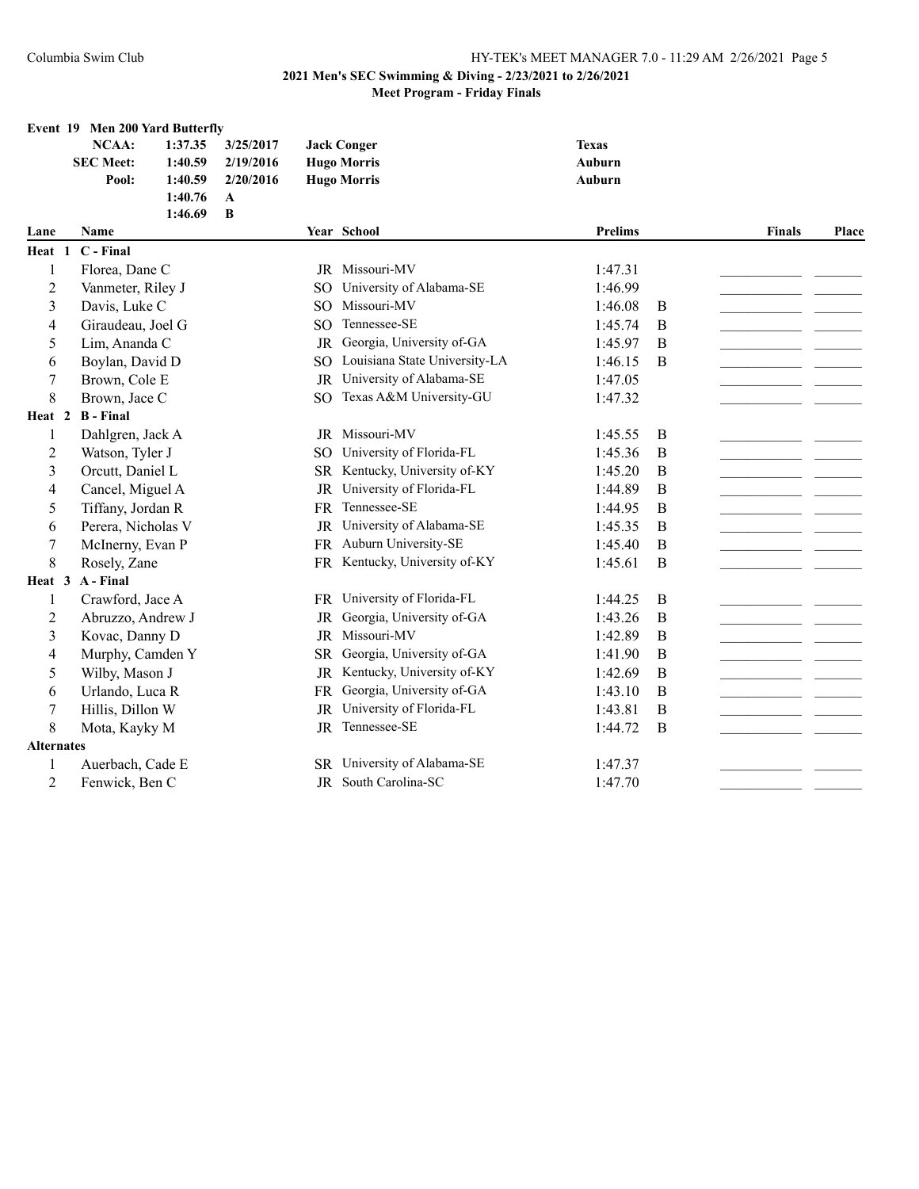|                   | Event 19 Men 200 Yard Butterfly |         |              |                 |                               |                |   |               |       |
|-------------------|---------------------------------|---------|--------------|-----------------|-------------------------------|----------------|---|---------------|-------|
|                   | NCAA:                           | 1:37.35 | 3/25/2017    |                 | <b>Jack Conger</b>            | <b>Texas</b>   |   |               |       |
|                   | <b>SEC Meet:</b>                | 1:40.59 | 2/19/2016    |                 | <b>Hugo Morris</b>            | <b>Auburn</b>  |   |               |       |
|                   | Pool:                           | 1:40.59 | 2/20/2016    |                 | <b>Hugo Morris</b>            | Auburn         |   |               |       |
|                   |                                 | 1:40.76 | $\mathbf{A}$ |                 |                               |                |   |               |       |
|                   |                                 | 1:46.69 | B            |                 |                               |                |   |               |       |
| Lane              | Name                            |         |              |                 | Year School                   | <b>Prelims</b> |   | <b>Finals</b> | Place |
| Heat 1            | C - Final                       |         |              |                 |                               |                |   |               |       |
| 1                 | Florea, Dane C                  |         |              |                 | JR Missouri-MV                | 1:47.31        |   |               |       |
| 2                 | Vanmeter, Riley J               |         |              | SO.             | University of Alabama-SE      | 1:46.99        |   |               |       |
| 3                 | Davis, Luke C                   |         |              | SO <sub>2</sub> | Missouri-MV                   | 1:46.08        | B |               |       |
| 4                 | Giraudeau, Joel G               |         |              | SO <sub>1</sub> | Tennessee-SE                  | 1:45.74        | B |               |       |
| 5                 | Lim, Ananda C                   |         |              | JR              | Georgia, University of-GA     | 1:45.97        | B |               |       |
| 6                 | Boylan, David D                 |         |              | SO.             | Louisiana State University-LA | 1:46.15        | B |               |       |
| 7                 | Brown, Cole E                   |         |              | JR              | University of Alabama-SE      | 1:47.05        |   |               |       |
| 8                 | Brown, Jace C                   |         |              | SO.             | Texas A&M University-GU       | 1:47.32        |   |               |       |
| Heat 2            | <b>B</b> - Final                |         |              |                 |                               |                |   |               |       |
| 1                 | Dahlgren, Jack A                |         |              |                 | JR Missouri-MV                | 1:45.55        | B |               |       |
| 2                 | Watson, Tyler J                 |         |              | SO.             | University of Florida-FL      | 1:45.36        | B |               |       |
| 3                 | Orcutt, Daniel L                |         |              |                 | SR Kentucky, University of-KY | 1:45.20        | B |               |       |
| $\overline{4}$    | Cancel, Miguel A                |         |              | $_{\rm JR}$     | University of Florida-FL      | 1:44.89        | B |               |       |
| 5                 | Tiffany, Jordan R               |         |              | FR              | Tennessee-SE                  | 1:44.95        | B |               |       |
| 6                 | Perera, Nicholas V              |         |              | JR              | University of Alabama-SE      | 1:45.35        | B |               |       |
| 7                 | McInerny, Evan P                |         |              |                 | FR Auburn University-SE       | 1:45.40        | B |               |       |
| 8                 | Rosely, Zane                    |         |              |                 | FR Kentucky, University of-KY | 1:45.61        | B |               |       |
| Heat 3            | A - Final                       |         |              |                 |                               |                |   |               |       |
| 1                 | Crawford, Jace A                |         |              |                 | FR University of Florida-FL   | 1:44.25        | B |               |       |
| 2                 | Abruzzo, Andrew J               |         |              | JR              | Georgia, University of-GA     | 1:43.26        | B |               |       |
| 3                 | Kovac, Danny D                  |         |              | JR              | Missouri-MV                   | 1:42.89        | B |               |       |
| 4                 | Murphy, Camden Y                |         |              | SR              | Georgia, University of-GA     | 1:41.90        | B |               |       |
| 5                 | Wilby, Mason J                  |         |              |                 | JR Kentucky, University of-KY | 1:42.69        | B |               |       |
| 6                 | Urlando, Luca R                 |         |              | FR              | Georgia, University of-GA     | 1:43.10        | B |               |       |
| 7                 | Hillis, Dillon W                |         |              | JR              | University of Florida-FL      | 1:43.81        | B |               |       |
| 8                 | Mota, Kayky M                   |         |              |                 | JR Tennessee-SE               | 1:44.72        | B |               |       |
| <b>Alternates</b> |                                 |         |              |                 |                               |                |   |               |       |
| 1                 | Auerbach, Cade E                |         |              | SR              | University of Alabama-SE      | 1:47.37        |   |               |       |
| $\overline{2}$    | Fenwick, Ben C                  |         |              |                 | JR South Carolina-SC          | 1:47.70        |   | <b>_</b>      |       |